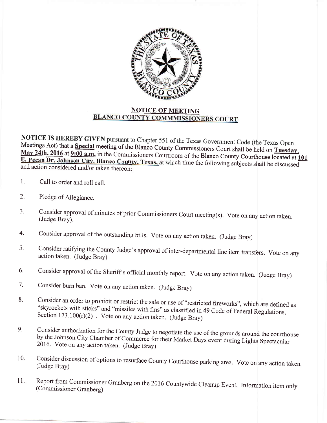

## **NOTICE OF MEETING<br>BLANCO COUNTY COMMMISSIONERS COURT**

**NOTICE IS HEREBY GIVEN** pursuant to Chapter 551 of the Texas Government Code (the Texas Open Meetings Act) that a **Special** meeting of the Blanco County Commissioners Court shall be held on **Tuesday,** May 24th, 2016 at 9: Meetings Act) that a Special meeting of the Blanco County Commissioners Court shall be held on Tuesday,<br>May 24th, 2016 at 9:00 a.m. in the Commissioners Courtroom of the Blanco County Courthouse located at 1<br>E. Pecan Dr, J and action considered and/or taken thereon:

- t. Call to order and roll call.
- Pledge of Allegiance. 2.
- Consider approval of minutes of prior Commissioners Court meeting(s). vote on any action taken. (Judge Bray). J.
- Consider approval of the outstanding bills. Vote on any action taken. (Judge Bray) 4.
- consider ratifying the county Judge's approval of inter-departmental line item transfers. vote on any action taken. (Judge Bray) 5.
- Consider approval of the Sheriff's official monthly report. Vote on any action taken. (Judge Bray) 6.
- Consider burn ban. Vote on any action taken. (Judge Bray) 7.
- Consider an order to prohibit or restrict the sale or use of "restricted fireworks", which are defined as "skyrockets with sticks" and "missiles with fins" as classified in 49 Code of Federal Regulations, Section 173.100( 8.
- Consider authorization for the County Judge to negotiate the use of the grounds around the courthouse<br>by the Johnson City Chamber of Commerce for their Market Days event during Lights Spectacular<br>2016. Vote on any action t 9.
- Consider discussion of options to resurface County Courthouse parking area. Vote on any action taken. (Judge Bray) 10.
- Report from Commissioner Granberg on the 2016 Countywide Cleanup Event. Information item only. (Commissioner Granberg) 11.